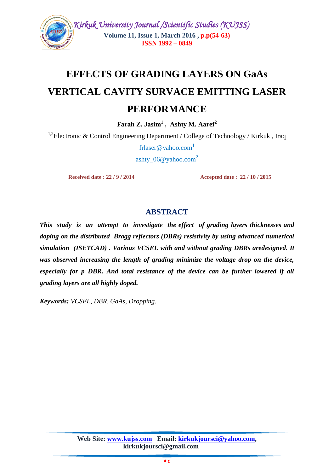

# **EFFECTS OF GRADING LAYERS ON GaAs VERTICAL CAVITY SURVACE EMITTING LASER**

# **PERFORMANCE**

**Farah Z. Jasim<sup>1</sup> , Ashty M. Aaref<sup>2</sup>**

<sup>1,2</sup>Electronic & Control Engineering Department / College of Technology / Kirkuk, Iraq

[frlaser@yahoo.com](mailto:frlaser@yahoo.com)<sup>1</sup> ashty  $06@$  vahoo.com<sup>2</sup>

 **Received date : 22 / 9 / 2014 Accepted date : 22 / 10 / 2015**

# **ABSTRACT**

*This study is an attempt to investigate the effect of grading layers thicknesses and doping on the distributed Bragg reflectors (DBRs) resistivity by using advanced numerical simulation (ISETCAD) . Various VCSEL with and without grading DBRs aredesigned. It was observed increasing the length of grading minimize the voltage drop on the device, especially for p DBR. And total resistance of the device can be further lowered if all grading layers are all highly doped.* 

*Keywords: VCSEL, DBR, GaAs, Dropping.*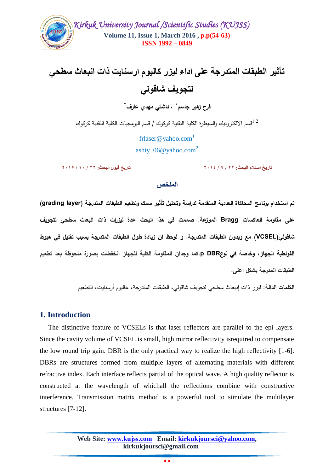

**جأذير الطبقات المحدرجة على اداء ليزر كاليوم ارسنايث ذات انبعاخ سطحي لحجويف شاقولي**

**، ئاشتي مهدي عارف <sup>1</sup> فرح زهير جاسم 2**

قسم الالكترونيك والسيطرة الكلية التقنية كركوك / قسم البرمجيات الكلية التقنية كركوك

[frlaser@yahoo.com](mailto:frlaser@yahoo.com)<sup>1</sup> ashty\_06@yahoo.com<sup>2</sup>

**جاريخ اسحالم البحد: 22 / 9 / 2105 جاريخ قبول البحد: 22 / 01 / 2104**

#### ا**لملخص**

**تم استخدام برنامج المحاكاة العددية المتقدمة لدراسة و تحميل تأثير سمك وتطعيم الطبقات المتدرجة )layer grading( عمى مقاومة العاكسات Bragg الموزعة. صممت في هذا البحث عدة ليزرات ذات انبعاث سطحي لتجويف شاقولي(VCSEL (مع وبدون الطبقات المتدرجة. و لوحظ ان زيادة طول الطبقات المتدرجة يسبب تقميل في هبوط الفولطية الجهاز، وخاصة في نوعDBR p.كما وجدان المقاومة الكمية لمجهاز انخفضت بصورة ممحوظة بعد تطعيم الطبقات المدرجة بشكل اعمى.**

**الكممات الدالة:** ليزر ذات إنبعاث سطحي لتجويف شاقولي، الطبقات المتدرجة، غاليوم أرسنايت، التطعيم

## **1. Introduction**

 The distinctive feature of VCSELs is that laser reflectors are parallel to the epi layers. Since the cavity volume of VCSEL is small, high mirror reflectivity isrequired to compensate the low round trip gain. DBR is the only practical way to realize the high reflectivity [1-6]. DBRs are structures formed from multiple layers of alternating materials with different refractive index. Each interface reflects partial of the optical wave. A high quality reflector is constructed at the wavelength of whichall the reflections combine with constructive interference. Transmission matrix method is a powerful tool to simulate the multilayer structures [7-12].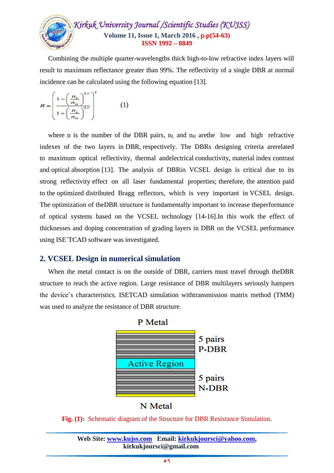

 Combining the multiple quarter-wavelengths thick high-to-low refractive index layers will result to maximum reflectance greater than 99%. The reflectivity of a single DBR at normal incidence can be calculated using the following equation [13].

$$
R = \left(\frac{1 - \left(\frac{n_L}{n_H}\right)^{2n}}{1 + \left(\frac{n_L}{n_H}\right)^{2n}}\right) \tag{1}
$$

where n is the number of the DBR pairs,  $n<sub>L</sub>$  and  $n<sub>H</sub>$  arethe low and high refractive indexes of the two layers in DBR, respectively. The DBRs designing criteria arerelated to maximum optical reflectivity, thermal andelectrical conductivity, material index contrast and optical absorption [13]. The analysis of DBRin VCSEL design is critical due to its strong reflectivity effect on all laser fundamental properties; therefore, the attention paid to the optimized distributed Bragg reflectors, which is very important in VCSEL design. The optimization of theDBR structure is fundamentally important to increase theperformance of optical systems based on the VCSEL technology [14-16].In this work the effect of thicknesses and doping concentration of grading layers in DBR on the VCSEL performance using ISE`TCAD software was investigated.

## **2. VCSEL Design in numerical simulation**

 When the metal contact is on the outside of DBR, carriers must travel through theDBR structure to reach the active region. Large resistance of DBR multilayers seriously hampers the device's characteristics. ISETCAD simulation withtransmission matrix method (TMM) was used to analyze the resistance of DBR structure.



N Metal

**Fig. (1):** Schematic diagram of the Structure for DBR Resistance Simulation.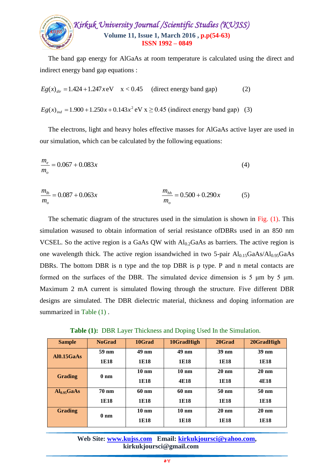

 The band gap energy for AlGaAs at room temperature is calculated using the direct and indirect energy band gap equations :

$$
Eg(x)_{dir} = 1.424 + 1.247 \, xeV \quad x < 0.45 \quad \text{(direct energy band gap)} \tag{2}
$$

 $Eg(x)_{ind} = 1.900 + 1.250x + 0.143x^2$  eV  $x \ge 0.45$  (indirect energy band gap) (3)

 The electrons, light and heavy holes effective masses for AlGaAs active layer are used in our simulation, which can be calculated by the following equations:

$$
\frac{m_e}{m_o} = 0.067 + 0.083x\tag{4}
$$

$$
\frac{m_{lh}}{m_o} = 0.087 + 0.063x \qquad \frac{m_{hh}}{m_o} = 0.500 + 0.290x \qquad (5)
$$

 The schematic diagram of the structures used in the simulation is shown in Fig. (1). This simulation wasused to obtain information of serial resistance ofDBRs used in an 850 nm VCSEL. So the active region is a GaAs QW with  $Al<sub>0.2</sub>GaAs$  as barriers. The active region is one wavelength thick. The active region issandwiched in two 5-pair  $Al<sub>0.15</sub>GaAs/Al<sub>0.95</sub>GaAs$ DBRs. The bottom DBR is n type and the top DBR is p type. P and n metal contacts are formed on the surfaces of the DBR. The simulated device dimension is 5 μm by 5 μm. Maximum 2 mA current is simulated flowing through the structure. Five different DBR designs are simulated. The DBR dielectric material, thickness and doping information are summarized in Table  $(1)$ .

 **Table (1):** DBR Layer Thickness and Doping Used In the Simulation.

| <b>Sample</b>           | <b>NoGrad</b>   | 10Grad          | 10GradHigh      | 20Grad          | 20GradHigh      |
|-------------------------|-----------------|-----------------|-----------------|-----------------|-----------------|
| AI0.15GaAs              | 59 nm           | $49 \text{ nm}$ | 49 nm           | $39 \text{ nm}$ | $39 \text{ nm}$ |
|                         | 1E18            | 1E18            | 1E18            | 1E18            | 1E18            |
| <b>Grading</b>          | 0 <sub>nm</sub> | $10 \text{ nm}$ | $10 \text{ nm}$ | $20 \text{ nm}$ | $20 \text{ nm}$ |
|                         |                 | 1E18            | 4E18            | 1E18            | 4E18            |
| Al <sub>0.95</sub> GaAs | <b>70 nm</b>    | 60 nm           | 60 nm           | $50 \text{ nm}$ | $50 \text{ nm}$ |
|                         | 1E18            | 1E18            | 1E18            | 1E18            | 1E18            |
| <b>Grading</b>          | 0 <sub>nm</sub> | $10 \text{ nm}$ | $10 \text{ nm}$ | $20 \text{ nm}$ | $20 \text{ nm}$ |
|                         |                 | 1E18            | 1E18            | 1E18            | 1E18            |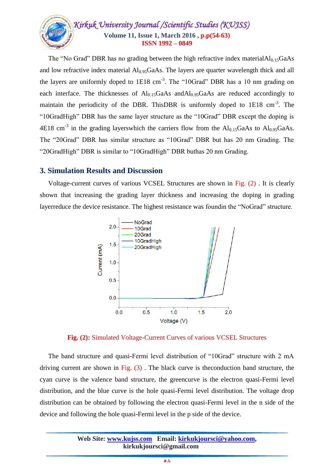

The "No Grad" DBR has no grading between the high refractive index material $Al<sub>0.15</sub>GaAs$ and low refractive index material  $Al<sub>0.95</sub>GaAs$ . The layers are quarter wavelength thick and all the layers are uniformly doped to  $1E18 \text{ cm}^{-3}$ . The "10Grad" DBR has a 10 nm grading on each interface. The thicknesses of  $Al<sub>0.15</sub>GaAs$  and $Al<sub>0.95</sub>GaAs$  are reduced accordingly to maintain the periodicity of the DBR. This DBR is uniformly doped to  $1E18 \text{ cm}^{-3}$ . The "10GradHigh" DBR has the same layer structure as the "10Grad" DBR except the doping is 4E18 cm<sup>-3</sup> in the grading layerswhich the carriers flow from the  $Al_{0.15}GaAs$  to  $Al_{0.95}GaAs$ . The "20Grad" DBR has similar structure as "10Grad" DBR but has 20 nm Grading. The "20GradHigh" DBR is similar to "10GradHigh" DBR buthas 20 nm Grading.

#### **3. Simulation Results and Discussion**

 Voltage-current curves of various VCSEL Structures are shown in Fig. (2) . It is clearly shown that increasing the grading layer thickness and increasing the doping in grading layerreduce the device resistance. The highest resistance was foundin the "NoGrad" structure.



**Fig. (2):** Simulated Voltage-Current Curves of various VCSEL Structures

 The band structure and quasi-Fermi level distribution of "10Grad" structure with 2 mA driving current are shown in Fig.  $(3)$ . The black curve is the conduction band structure, the cyan curve is the valence band structure, the greencurve is the electron quasi-Fermi level distribution, and the blue curve is the hole quasi-Fermi level distribution. The voltage drop distribution can be obtained by following the electron quasi-Fermi level in the n side of the device and following the hole quasi-Fermi level in the p side of the device.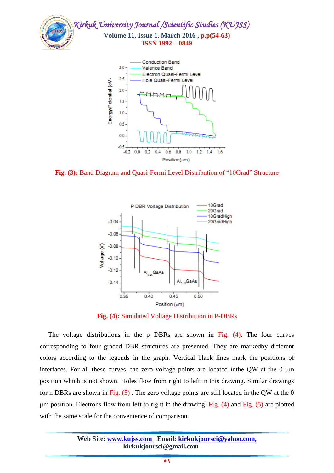



**Fig. (3):** Band Diagram and Quasi-Fermi Level Distribution of "10Grad" Structure



**Fig. (4):** Simulated Voltage Distribution in P-DBRs

 The voltage distributions in the p DBRs are shown in Fig. (4). The four curves corresponding to four graded DBR structures are presented. They are markedby different colors according to the legends in the graph. Vertical black lines mark the positions of interfaces. For all these curves, the zero voltage points are located inthe QW at the 0 μm position which is not shown. Holes flow from right to left in this drawing. Similar drawings for n DBRs are shown in Fig. (5) . The zero voltage points are still located in the QW at the 0 μm position. Electrons flow from left to right in the drawing. Fig. (4) and Fig. (5) are plotted with the same scale for the convenience of comparison.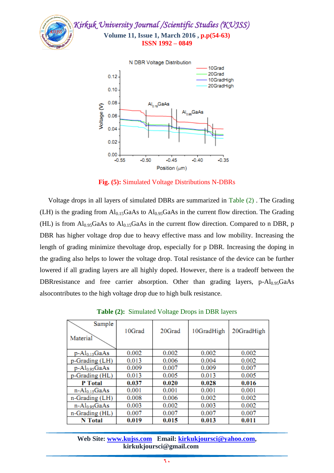



**Fig. (5):** Simulated Voltage Distributions N-DBRs

 Voltage drops in all layers of simulated DBRs are summarized in Table (2) . The Grading (LH) is the grading from  $Al<sub>0.15</sub>GaAs$  to  $Al<sub>0.95</sub>GaAs$  in the current flow direction. The Grading (HL) is from  $Al<sub>0.95</sub>GaAs$  to  $Al<sub>0.15</sub>GaAs$  in the current flow direction. Compared to n DBR, p DBR has higher voltage drop due to heavy effective mass and low mobility. Increasing the length of grading minimize thevoltage drop, especially for p DBR. Increasing the doping in the grading also helps to lower the voltage drop. Total resistance of the device can be further lowered if all grading layers are all highly doped. However, there is a tradeoff between the DBRresistance and free carrier absorption. Other than grading layers, p-Al<sub>0.95</sub>GaAs alsocontributes to the high voltage drop due to high bulk resistance.

| Sample<br>Material  | 10Grad | 20Grad | 10GradHigh | 20GradHigh |
|---------------------|--------|--------|------------|------------|
| $p - Al_{0.15}GaAs$ | 0.002  | 0.002  | 0.002      | 0.002      |
| p-Grading (LH)      | 0.013  | 0.006  | 0.004      | 0.002      |
| $p - Al0.95 GaAs$   | 0.009  | 0.007  | 0.009      | 0.007      |
| p-Grading (HL)      | 0.013  | 0.005  | 0.013      | 0.005      |
| <b>P</b> Total      | 0.037  | 0.020  | 0.028      | 0.016      |
| $n-Al0.15GaAs$      | 0.001  | 0.001  | 0.001      | 0.001      |
| n-Grading (LH)      | 0.008  | 0.006  | 0.002      | 0.002      |
| $n-Al0.95GaAs$      | 0.003  | 0.002  | 0.003      | 0.002      |
| n-Grading (HL)      | 0.007  | 0.007  | 0.007      | 0.007      |
| <b>N</b> Total      | 0.019  | 0.015  | 0.013      | 0.011      |

**Table (2):** Simulated Voltage Drops in DBR layers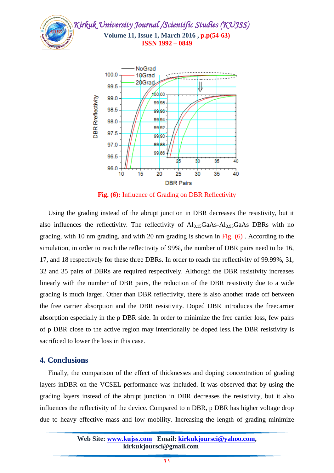

**Fig. (6):** Influence of Grading on DBR Reflectivity

 Using the grading instead of the abrupt junction in DBR decreases the resistivity, but it also influences the reflectivity. The reflectivity of  $Al<sub>0.15</sub>GaAs-Al<sub>0.95</sub>GaAs DBRs$  with no grading, with 10 nm grading, and with 20 nm grading is shown in Fig. (6) . According to the simulation, in order to reach the reflectivity of 99%, the number of DBR pairs need to be 16, 17, and 18 respectively for these three DBRs. In order to reach the reflectivity of 99.99%, 31, 32 and 35 pairs of DBRs are required respectively. Although the DBR resistivity increases linearly with the number of DBR pairs, the reduction of the DBR resistivity due to a wide grading is much larger. Other than DBR reflectivity, there is also another trade off between the free carrier absorption and the DBR resistivity. Doped DBR introduces the freecarrier absorption especially in the p DBR side. In order to minimize the free carrier loss, few pairs of p DBR close to the active region may intentionally be doped less.The DBR resistivity is sacrificed to lower the loss in this case.

#### **4. Conclusions**

 Finally, the comparison of the effect of thicknesses and doping concentration of grading layers inDBR on the VCSEL performance was included. It was observed that by using the grading layers instead of the abrupt junction in DBR decreases the resistivity, but it also influences the reflectivity of the device. Compared to n DBR, p DBR has higher voltage drop due to heavy effective mass and low mobility. Increasing the length of grading minimize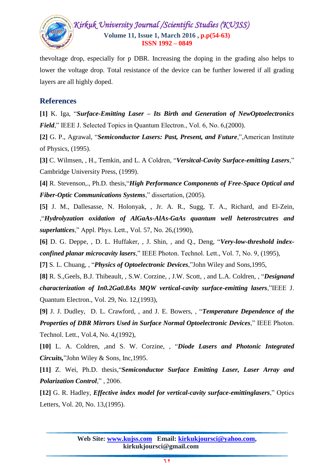

thevoltage drop, especially for p DBR. Increasing the doping in the grading also helps to lower the voltage drop. Total resistance of the device can be further lowered if all grading layers are all highly doped.

# **References**

**[1]** K. Iga, "*Surface-Emitting Laser – Its Birth and Generation of NewOptoelectronics Field*," IEEE J. Selected Topics in Quantum Electron., Vol. 6, No. 6, (2000).

**[2]** G. P., Agrawal, "*Semiconductor Lasers: Past, Present, and Future*,",American Institute of Physics, (1995).

**[3]** C. Wilmsen, , H., Temkin, and L. A Coldren, "*Versitcal-Cavity Surface-emitting Lasers*," Cambridge University Press, (1999).

**[4]** R. Stevenson,., Ph.D. thesis,"*High Performance Components of Free-Space Optical and Fiber-Optic Communications Systems*," dissertation, (2005).

**[5]** J. M., Dallesasse, N. Holonyak, , Jr. A. R., Sugg, T. A., Richard, and El-Zein, ,"*Hydrolyzation oxidation of AlGaAs-AlAs-GaAs quantum well heterostrcutres and superlattices*," Appl. Phys. Lett., Vol. 57, No. 26,(1990),

**[6]** D. G. Deppe, , D. L. Huffaker, , J. Shin, , and Q., Deng, "*Very-low-threshold indexconfined planar microcavity lasers*," IEEE Photon. Technol. Lett., Vol. 7, No. 9, (1995),

**[7]** S. L. Chuang, , "*Physics of Optoelectronic Devices*,"John Wiley and Sons,1995,

**[8]** R. S.,Geels, B.J. Thibeault, , S.W. Corzine, , J.W. Scott, , and L.A. Coldren, , "*Designand characterization of In0.2Ga0.8As MQW vertical-cavity surface-emitting lasers*,"IEEE J. Quantum Electron., Vol. 29, No. 12,(1993),

**[9]** J. J. Dudley, D. L. Crawford, , and J. E. Bowers, , "*Temperature Dependence of the Properties of DBR Mirrors Used in Surface Normal Optoelectronic Devices*," IEEE Photon. Technol. Lett., Vol.4, No. 4,(1992),

**[10]** L. A. Coldren, ,and S. W. Corzine, , "*Diode Lasers and Photonic Integrated Circuits,*"John Wiley & Sons, Inc,1995.

**[11]** Z. Wei, Ph.D. thesis,"*Semiconductor Surface Emitting Laser, Laser Array and Polarization Control*," , 2006.

**[12]** G. R. Hadley, *Effective index model for vertical-cavity surface-emittinglasers*," Optics Letters, Vol. 20, No. 13,(1995).